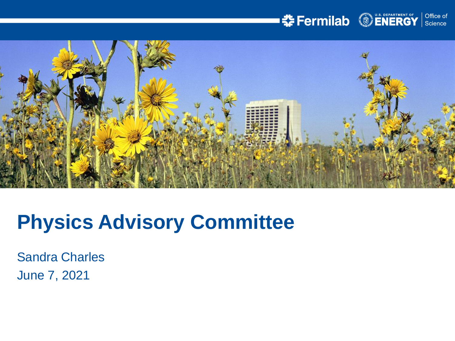## **SEPROPENERGY** Science



# **Physics Advisory Committee**

Sandra Charles June 7, 2021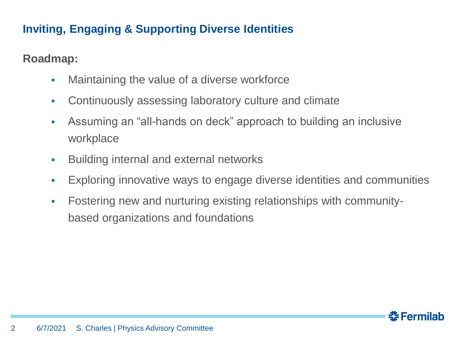## **Inviting, Engaging & Supporting Diverse Identities**

## **Roadmap:**

- **Maintaining the value of a diverse workforce**
- Continuously assessing laboratory culture and climate
- **Assuming an "all-hands on deck" approach to building an inclusive** workplace
- **Building internal and external networks**
- Exploring innovative ways to engage diverse identities and communities
- Fostering new and nurturing existing relationships with communitybased organizations and foundations

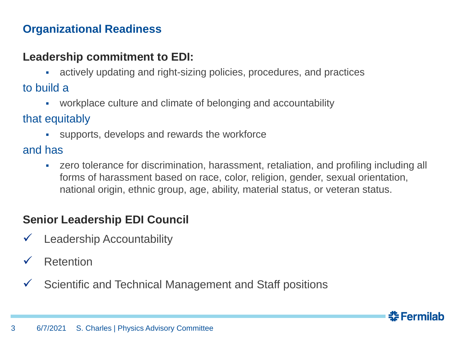## **Organizational Readiness**

#### **Leadership commitment to EDI:**

actively updating and right-sizing policies, procedures, and practices

to build a

▪ workplace culture and climate of belonging and accountability

that equitably

▪ supports, develops and rewards the workforce

and has

• zero tolerance for discrimination, harassment, retaliation, and profiling including all forms of harassment based on race, color, religion, gender, sexual orientation, national origin, ethnic group, age, ability, material status, or veteran status.

## **Senior Leadership EDI Council**

- Leadership Accountability
- **Retention**
- Scientific and Technical Management and Staff positions

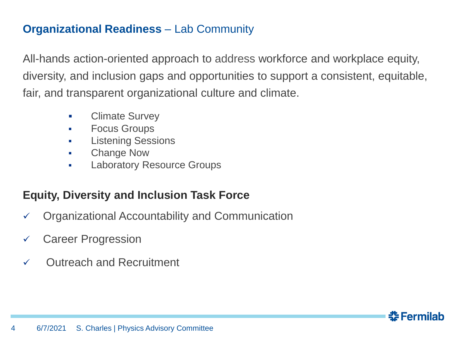#### **Organizational Readiness** – Lab Community

All-hands action-oriented approach to address workforce and workplace equity, diversity, and inclusion gaps and opportunities to support a consistent, equitable, fair, and transparent organizational culture and climate.

- Climate Survey
- Focus Groups
- Listening Sessions
- Change Now
- Laboratory Resource Groups

## **Equity, Diversity and Inclusion Task Force**

- ✓ Organizational Accountability and Communication
- ✓ Career Progression
- ✓ Outreach and Recruitment

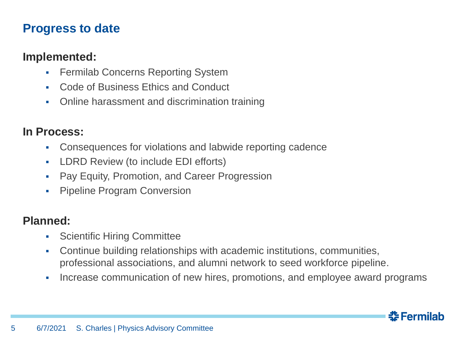## **Progress to date**

#### **Implemented:**

- **Fermilab Concerns Reporting System**
- Code of Business Ethics and Conduct
- Online harassment and discrimination training

#### **In Process:**

- Consequences for violations and labwide reporting cadence
- LDRD Review (to include EDI efforts)
- **Pay Equity, Promotion, and Career Progression**
- Pipeline Program Conversion

#### **Planned:**

- Scientific Hiring Committee
- Continue building relationships with academic institutions, communities, professional associations, and alumni network to seed workforce pipeline.
- **•** Increase communication of new hires, promotions, and employee award programs

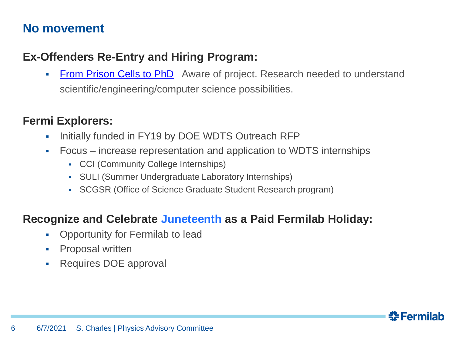## **No movement**

#### **Ex-Offenders Re-Entry and Hiring Program:**

• [From Prison Cells to PhD](https://www.fromprisoncellstophd.org/) Aware of project. Research needed to understand scientific/engineering/computer science possibilities.

#### **Fermi Explorers:**

- **Initially funded in FY19 by DOE WDTS Outreach RFP**
- Focus increase representation and application to WDTS internships
	- CCI (Community College Internships)
	- SULI (Summer Undergraduate Laboratory Internships)
	- SCGSR (Office of Science Graduate Student Research program)

#### **Recognize and Celebrate Juneteenth as a Paid Fermilab Holiday:**

- Opportunity for Fermilab to lead
- **•** Proposal written
- Requires DOE approval

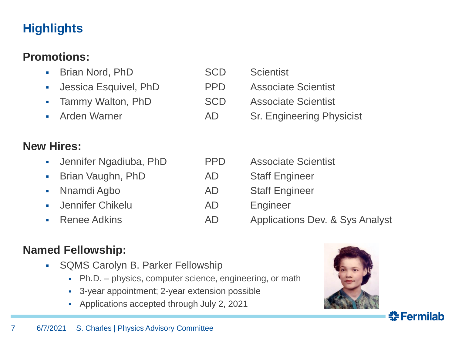## **Highlights**

## **Promotions:**

- Brian Nord, PhD SCD Scientist ▪ Jessica Esquivel, PhD PPD Associate Scientist • Tammy Walton, PhD SCD Associate Scientist **• Arden Warner Communist AD Sr. Engineering Physicist New Hires: • Jennifer Ngadiuba, PhD PPD Associate Scientist** • Brian Vaughn, PhD AD Staff Engineer • Nnamdi Agbo AD Staff Engineer **•** Jennifer Chikelu **AD** Engineer • Renee Adkins **AD** Applications Dev. & Sys Analyst
- **Named Fellowship:**
	- SQMS Carolyn B. Parker Fellowship
		- Ph.D. physics, computer science, engineering, or math
		- 3-year appointment; 2-year extension possible
		- Applications accepted through July 2, 2021



<u> 좋 Fermilab</u>